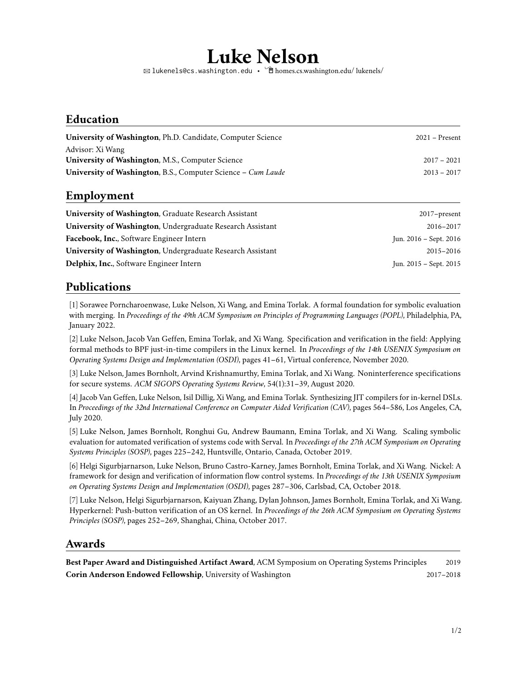# **Luke Nelson**

<sup>B</sup> [lukenels@cs.washington.edu](mailto:lukenels@cs.washington.edu) • Í[homes.cs.washington.edu/ lukenels/](https://homes.cs.washington.edu/~lukenels/)

#### **Education**

| <b>University of Washington, Ph.D. Candidate, Computer Science</b>  | $2021 -$ Present |
|---------------------------------------------------------------------|------------------|
| Advisor: Xi Wang                                                    |                  |
| <b>University of Washington, M.S., Computer Science</b>             | $2017 - 2021$    |
| <b>University of Washington, B.S., Computer Science – Cum Laude</b> | $2013 - 2017$    |
|                                                                     |                  |

#### **Employment**

| $2017$ -present        |
|------------------------|
| 2016-2017              |
| Jun. 2016 – Sept. 2016 |
| 2015-2016              |
| Jun. 2015 – Sept. 2015 |
|                        |

### **Publications**

[1] Sorawee Porncharoenwase, Luke Nelson, Xi Wang, and Emina Torlak. A formal foundation for symbolic evaluation with merging. In *Proceedings of the 49th ACM Symposium on Principles of Programming Languages (POPL)*, Philadelphia, PA, January 2022.

[2] Luke Nelson, Jacob Van Geffen, Emina Torlak, and Xi Wang. Specification and verification in the field: Applying formal methods to BPF just-in-time compilers in the Linux kernel. In *Proceedings of the 14th USENIX Symposium on Operating Systems Design and Implementation (OSDI)*, pages 41–61, Virtual conference, November 2020.

[3] Luke Nelson, James Bornholt, Arvind Krishnamurthy, Emina Torlak, and Xi Wang. Noninterference specifications for secure systems. *ACM SIGOPS Operating Systems Review*, 54(1):31–39, August 2020.

[4] Jacob Van Geffen, Luke Nelson, Isil Dillig, Xi Wang, and Emina Torlak. Synthesizing JIT compilers for in-kernel DSLs. In *Proceedings of the 32nd International Conference on Computer Aided Verification (CAV)*, pages 564–586, Los Angeles, CA, July 2020.

[5] Luke Nelson, James Bornholt, Ronghui Gu, Andrew Baumann, Emina Torlak, and Xi Wang. Scaling symbolic evaluation for automated verification of systems code with Serval. In *Proceedings of the 27th ACM Symposium on Operating Systems Principles (SOSP)*, pages 225–242, Huntsville, Ontario, Canada, October 2019.

[6] Helgi Sigurbjarnarson, Luke Nelson, Bruno Castro-Karney, James Bornholt, Emina Torlak, and Xi Wang. Nickel: A framework for design and verification of information flow control systems. In *Proceedings of the 13th USENIX Symposium on Operating Systems Design and Implementation (OSDI)*, pages 287–306, Carlsbad, CA, October 2018.

[7] Luke Nelson, Helgi Sigurbjarnarson, Kaiyuan Zhang, Dylan Johnson, James Bornholt, Emina Torlak, and Xi Wang. Hyperkernel: Push-button verification of an OS kernel. In *Proceedings of the 26th ACM Symposium on Operating Systems Principles (SOSP)*, pages 252–269, Shanghai, China, October 2017.

#### **Awards**

**Best Paper Award and Distinguished Artifact Award**, ACM Symposium on Operating Systems Principles 2019 **Corin Anderson Endowed Fellowship**, University of Washington 2017–2018